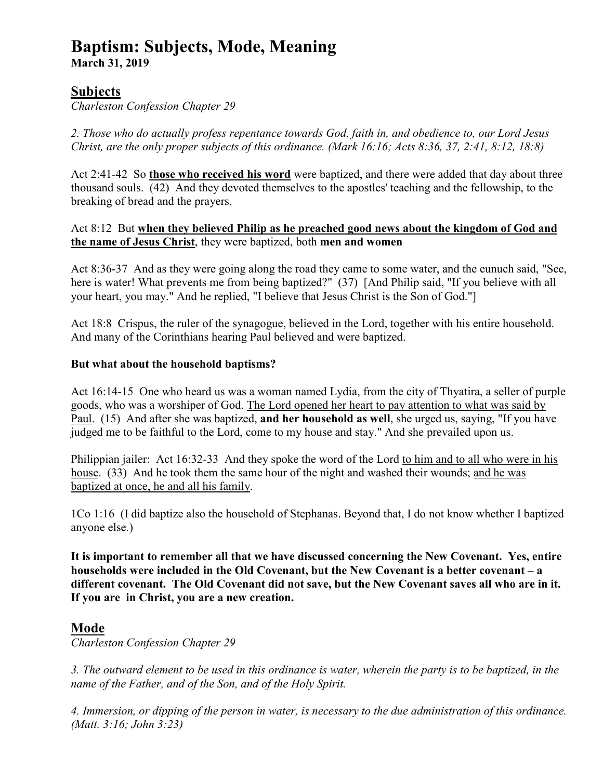# **Baptism: Subjects, Mode, Meaning**

**March 31, 2019** 

# **Subjects**

*Charleston Confession Chapter 29* 

*2. Those who do actually profess repentance towards God, faith in, and obedience to, our Lord Jesus Christ, are the only proper subjects of this ordinance. (Mark 16:16; Acts 8:36, 37, 2:41, 8:12, 18:8)* 

Act 2:41-42 So **those who received his word** were baptized, and there were added that day about three thousand souls. (42) And they devoted themselves to the apostles' teaching and the fellowship, to the breaking of bread and the prayers.

Act 8:12 But **when they believed Philip as he preached good news about the kingdom of God and the name of Jesus Christ**, they were baptized, both **men and women**

Act 8:36-37 And as they were going along the road they came to some water, and the eunuch said, "See, here is water! What prevents me from being baptized?" (37) [And Philip said, "If you believe with all your heart, you may." And he replied, "I believe that Jesus Christ is the Son of God."]

Act 18:8 Crispus, the ruler of the synagogue, believed in the Lord, together with his entire household. And many of the Corinthians hearing Paul believed and were baptized.

## **But what about the household baptisms?**

Act 16:14-15 One who heard us was a woman named Lydia, from the city of Thyatira, a seller of purple goods, who was a worshiper of God. The Lord opened her heart to pay attention to what was said by Paul. (15) And after she was baptized, **and her household as well**, she urged us, saying, "If you have judged me to be faithful to the Lord, come to my house and stay." And she prevailed upon us.

Philippian jailer: Act 16:32-33 And they spoke the word of the Lord to him and to all who were in his house. (33) And he took them the same hour of the night and washed their wounds; and he was baptized at once, he and all his family.

1Co 1:16 (I did baptize also the household of Stephanas. Beyond that, I do not know whether I baptized anyone else.)

**It is important to remember all that we have discussed concerning the New Covenant. Yes, entire households were included in the Old Covenant, but the New Covenant is a better covenant – a different covenant. The Old Covenant did not save, but the New Covenant saves all who are in it. If you are in Christ, you are a new creation.** 

# **Mode**

*Charleston Confession Chapter 29* 

*3. The outward element to be used in this ordinance is water, wherein the party is to be baptized, in the name of the Father, and of the Son, and of the Holy Spirit.* 

*4. Immersion, or dipping of the person in water, is necessary to the due administration of this ordinance. (Matt. 3:16; John 3:23)*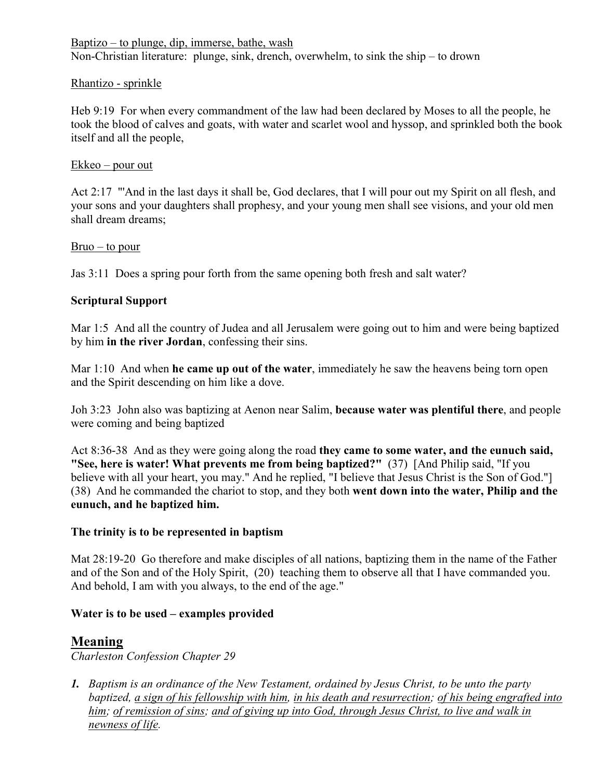Baptizo – to plunge, dip, immerse, bathe, wash Non-Christian literature: plunge, sink, drench, overwhelm, to sink the ship – to drown

#### Rhantizo - sprinkle

Heb 9:19 For when every commandment of the law had been declared by Moses to all the people, he took the blood of calves and goats, with water and scarlet wool and hyssop, and sprinkled both the book itself and all the people,

#### Ekkeo – pour out

Act 2:17 "'And in the last days it shall be, God declares, that I will pour out my Spirit on all flesh, and your sons and your daughters shall prophesy, and your young men shall see visions, and your old men shall dream dreams;

#### $Bruo - to pour$

Jas 3:11 Does a spring pour forth from the same opening both fresh and salt water?

## **Scriptural Support**

Mar 1:5 And all the country of Judea and all Jerusalem were going out to him and were being baptized by him **in the river Jordan**, confessing their sins.

Mar 1:10 And when **he came up out of the water**, immediately he saw the heavens being torn open and the Spirit descending on him like a dove.

Joh 3:23 John also was baptizing at Aenon near Salim, **because water was plentiful there**, and people were coming and being baptized

Act 8:36-38 And as they were going along the road **they came to some water, and the eunuch said, "See, here is water! What prevents me from being baptized?"** (37) [And Philip said, "If you believe with all your heart, you may." And he replied, "I believe that Jesus Christ is the Son of God."] (38) And he commanded the chariot to stop, and they both **went down into the water, Philip and the eunuch, and he baptized him.**

#### **The trinity is to be represented in baptism**

Mat 28:19-20 Go therefore and make disciples of all nations, baptizing them in the name of the Father and of the Son and of the Holy Spirit, (20) teaching them to observe all that I have commanded you. And behold, I am with you always, to the end of the age."

## **Water is to be used – examples provided**

# **Meaning**

*Charleston Confession Chapter 29* 

*1. Baptism is an ordinance of the New Testament, ordained by Jesus Christ, to be unto the party baptized, a sign of his fellowship with him, in his death and resurrection; of his being engrafted into him; of remission of sins; and of giving up into God, through Jesus Christ, to live and walk in newness of life.*